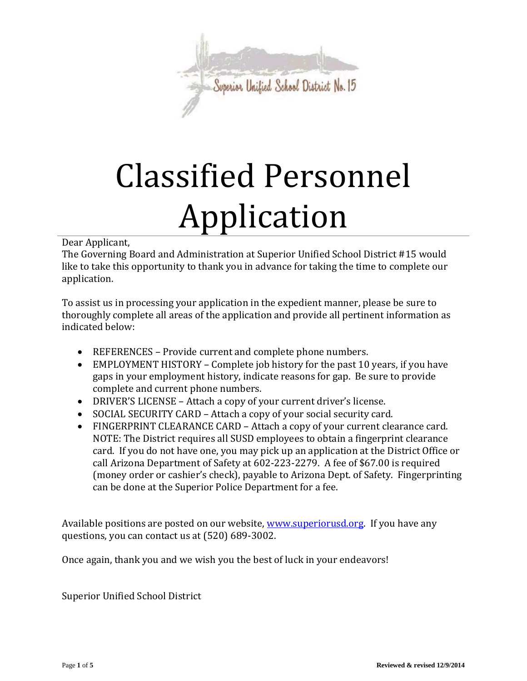

# Classified Personnel Application

## Dear Applicant,

The Governing Board and Administration at Superior Unified School District #15 would like to take this opportunity to thank you in advance for taking the time to complete our application.

To assist us in processing your application in the expedient manner, please be sure to thoroughly complete all areas of the application and provide all pertinent information as indicated below:

- REFERENCES Provide current and complete phone numbers.
- EMPLOYMENT HISTORY Complete job history for the past 10 years, if you have gaps in your employment history, indicate reasons for gap. Be sure to provide complete and current phone numbers.
- DRIVER'S LICENSE Attach a copy of your current driver's license.
- SOCIAL SECURITY CARD Attach a copy of your social security card.
- FINGERPRINT CLEARANCE CARD Attach a copy of your current clearance card. NOTE: The District requires all SUSD employees to obtain a fingerprint clearance card. If you do not have one, you may pick up an application at the District Office or call Arizona Department of Safety at 602-223-2279. A fee of \$67.00 is required (money order or cashier's check), payable to Arizona Dept. of Safety. Fingerprinting can be done at the Superior Police Department for a fee.

Available positions are posted on our website, [www.superiorusd.org.](http://www.superiorusd.org/) If you have any questions, you can contact us at (520) 689-3002.

Once again, thank you and we wish you the best of luck in your endeavors!

Superior Unified School District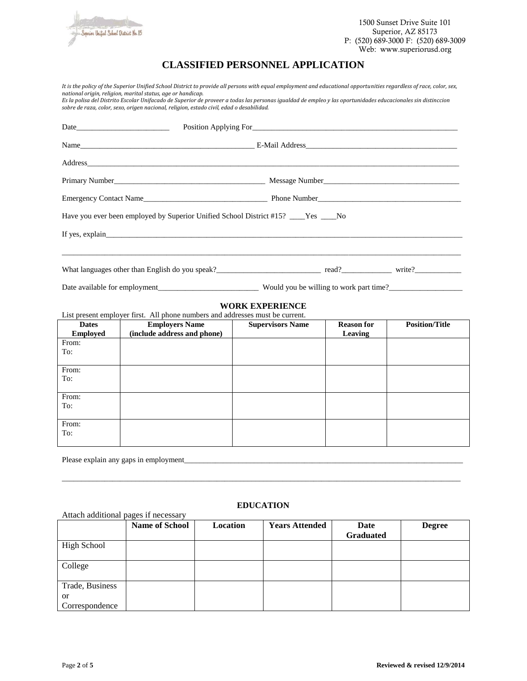

1500 Sunset Drive Suite 101 Superior, AZ 85173 P: (520) 689-3000 F: (520) 689-3009 Web: www.superiorusd.org

# **CLASSIFIED PERSONNEL APPLICATION**

*It is the policy of the Superior Unified School District to provide all persons with equal employment and educational opportunities regardless of race, color, sex, national origin, religion, marital status, age or handicap. Es la polisa del Distrito Escolar Unifacado de Superior de proveer a todas las personas igualdad de empleo y las oportunidades educacionales sin distinccion sobre de raza, color, sexo, origen nacional, religion, estado civil, edad o desabilidad.*  Date\_\_\_\_\_\_\_\_\_\_\_\_\_\_\_\_\_\_\_\_\_\_\_\_ Position Applying For\_\_\_\_\_\_\_\_\_\_\_\_\_\_\_\_\_\_\_\_\_\_\_\_\_\_\_\_\_\_\_\_\_\_\_\_\_\_\_\_\_\_\_\_\_\_\_\_\_\_\_\_\_ Name **Name E-Mail Address** Address\_\_\_\_\_\_\_\_\_\_\_\_\_\_\_\_\_\_\_\_\_\_\_\_\_\_\_\_\_\_\_\_\_\_\_\_\_\_\_\_\_\_\_\_\_\_\_\_\_\_\_\_\_\_\_\_\_\_\_\_\_\_\_\_\_\_\_\_\_\_\_\_\_\_\_\_\_\_\_\_\_\_\_\_\_\_\_\_\_\_\_\_\_\_\_\_ Primary Number\_\_\_\_\_\_\_\_\_\_\_\_\_\_\_\_\_\_\_\_\_\_\_\_\_\_\_\_\_\_\_\_\_\_\_\_\_\_\_ Message Number\_\_\_\_\_\_\_\_\_\_\_\_\_\_\_\_\_\_\_\_\_\_\_\_\_\_\_\_\_\_\_\_\_\_\_ Emergency Contact Name\_\_\_\_\_\_\_\_\_\_\_\_\_\_\_\_\_\_\_\_\_\_\_\_\_\_\_\_\_\_\_\_ Phone Number\_\_\_\_\_\_\_\_\_\_\_\_\_\_\_\_\_\_\_\_\_\_\_\_\_\_\_\_\_\_\_\_\_\_\_\_\_ Have you ever been employed by Superior Unified School District #15? \_\_\_\_Yes \_\_\_\_No If yes, explain\_ \_\_\_\_\_\_\_\_\_\_\_\_\_\_\_\_\_\_\_\_\_\_\_\_\_\_\_\_\_\_\_\_\_\_\_\_\_\_\_\_\_\_\_\_\_\_\_\_\_\_\_\_\_\_\_\_\_\_\_\_\_\_\_\_\_\_\_\_\_\_\_\_\_\_\_\_\_\_\_\_\_\_\_\_\_\_\_\_\_\_\_\_\_\_\_\_\_\_\_\_\_\_\_ What languages other than English do you speak?\_\_\_\_\_\_\_\_\_\_\_\_\_\_\_\_\_\_\_\_\_\_\_\_\_\_\_ read?\_\_\_\_\_\_\_\_\_\_\_\_\_ write?\_\_\_\_\_\_\_\_\_\_\_\_ Date available for employment\_\_\_\_\_\_\_\_\_\_\_\_\_\_\_\_\_\_\_\_\_\_\_\_\_\_ Would you be willing to work part time?\_\_\_\_\_\_\_\_\_\_\_\_\_\_\_\_\_\_\_ **WORK EXPERIENCE** List present employer first. All phone numbers and addresses must be current. **Dates Employed Employers Name (include address and phone) Supervisors Name Reason for Leaving Position/Title** From: To:

From: To: From: To: From: To:

Please explain any gaps in employment

## **EDUCATION**

\_\_\_\_\_\_\_\_\_\_\_\_\_\_\_\_\_\_\_\_\_\_\_\_\_\_\_\_\_\_\_\_\_\_\_\_\_\_\_\_\_\_\_\_\_\_\_\_\_\_\_\_\_\_\_\_\_\_\_\_\_\_\_\_\_\_\_\_\_\_\_\_\_\_\_\_\_\_\_\_\_\_\_\_\_\_\_\_\_\_\_\_\_\_\_\_\_\_\_\_\_\_\_

Attach additional pages if necessary

|                                 | <b>Name of School</b> | Location | <b>Years Attended</b> | Date<br><b>Graduated</b> | <b>Degree</b> |
|---------------------------------|-----------------------|----------|-----------------------|--------------------------|---------------|
| <b>High School</b>              |                       |          |                       |                          |               |
| College                         |                       |          |                       |                          |               |
| Trade, Business                 |                       |          |                       |                          |               |
| <sub>or</sub><br>Correspondence |                       |          |                       |                          |               |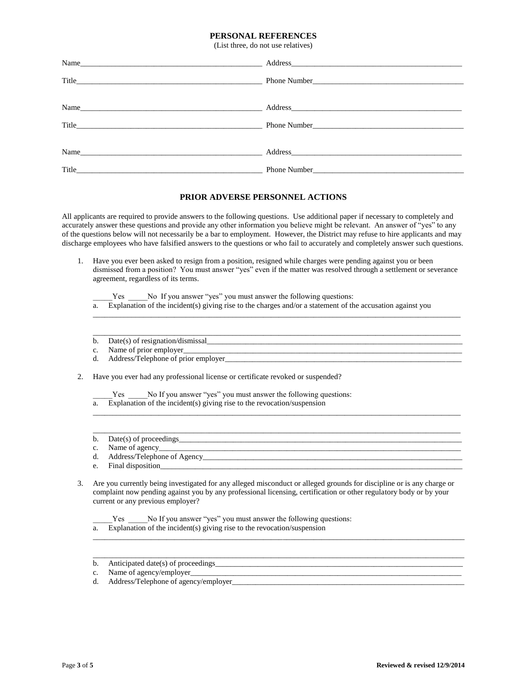#### **PERSONAL REFERENCES**

(List three, do not use relatives)

| Name |  |
|------|--|
|      |  |
|      |  |
| Name |  |
|      |  |

#### **PRIOR ADVERSE PERSONNEL ACTIONS**

All applicants are required to provide answers to the following questions. Use additional paper if necessary to completely and accurately answer these questions and provide any other information you believe might be relevant. An answer of "yes" to any of the questions below will not necessarily be a bar to employment. However, the District may refuse to hire applicants and may discharge employees who have falsified answers to the questions or who fail to accurately and completely answer such questions.

1. Have you ever been asked to resign from a position, resigned while charges were pending against you or been dismissed from a position? You must answer "yes" even if the matter was resolved through a settlement or severance agreement, regardless of its terms.

Yes \_\_\_\_\_No If you answer "yes" you must answer the following questions:

a. Explanation of the incident(s) giving rise to the charges and/or a statement of the accusation against you

\_\_\_\_\_\_\_\_\_\_\_\_\_\_\_\_\_\_\_\_\_\_\_\_\_\_\_\_\_\_\_\_\_\_\_\_\_\_\_\_\_\_\_\_\_\_\_\_\_\_\_\_\_\_\_\_\_\_\_\_\_\_\_\_\_\_\_\_\_\_\_\_\_\_\_\_\_\_\_\_\_\_\_\_\_\_\_\_\_\_\_\_\_\_\_

\_\_\_\_\_\_\_\_\_\_\_\_\_\_\_\_\_\_\_\_\_\_\_\_\_\_\_\_\_\_\_\_\_\_\_\_\_\_\_\_\_\_\_\_\_\_\_\_\_\_\_\_\_\_\_\_\_\_\_\_\_\_\_\_\_\_\_\_\_\_\_\_\_\_\_\_\_\_\_\_\_\_\_\_\_\_\_\_\_\_\_\_\_\_\_

 $\Box$ 

\_\_\_\_\_\_\_\_\_\_\_\_\_\_\_\_\_\_\_\_\_\_\_\_\_\_\_\_\_\_\_\_\_\_\_\_\_\_\_\_\_\_\_\_\_\_\_\_\_\_\_\_\_\_\_\_\_\_\_\_\_\_\_\_\_\_\_\_\_\_\_\_\_\_\_\_\_\_\_\_\_\_\_\_\_\_\_\_\_\_\_\_\_\_\_

- b. Date(s) of resignation/dismissal\_\_\_\_\_\_\_\_\_\_\_\_\_\_\_\_\_\_\_\_\_\_\_\_\_\_\_\_\_\_\_\_\_\_\_\_\_\_\_\_\_\_\_\_\_\_\_\_\_\_\_\_\_\_\_\_\_\_\_\_\_\_\_\_\_\_
- c. Name of prior employer
- d. Address/Telephone of prior employer\_\_\_\_\_\_\_\_\_\_\_\_\_\_\_\_\_\_\_\_\_\_\_\_\_\_\_\_\_\_\_\_\_\_\_\_\_\_\_\_\_\_\_\_\_\_\_\_\_\_\_\_\_\_\_\_\_\_\_\_\_
- 2. Have you ever had any professional license or certificate revoked or suspended?
	- Yes No If you answer "yes" you must answer the following questions:
	- a. Explanation of the incident(s) giving rise to the revocation/suspension
	- b. Date(s) of proceedings\_\_\_\_\_\_\_\_\_\_\_\_\_\_\_\_\_\_\_\_\_\_\_\_\_\_\_\_\_\_\_\_\_\_\_\_\_\_\_\_\_\_\_\_\_\_\_\_\_\_\_\_\_\_\_\_\_\_\_\_\_\_\_\_\_\_\_\_\_\_\_\_\_
	- c. Name of agency
	- d. Address/Telephone of Agency\_\_\_\_\_\_\_\_\_\_\_\_\_\_\_\_\_\_\_\_\_\_\_\_\_\_\_\_\_\_\_\_\_\_\_\_\_\_\_\_\_\_\_\_\_\_\_\_\_\_\_\_\_\_\_\_\_\_\_\_\_\_\_\_\_\_\_
	- e. Final disposition
- 3. Are you currently being investigated for any alleged misconduct or alleged grounds for discipline or is any charge or complaint now pending against you by any professional licensing, certification or other regulatory body or by your current or any previous employer?

 $\Box$ 

\_\_\_\_\_\_\_\_\_\_\_\_\_\_\_\_\_\_\_\_\_\_\_\_\_\_\_\_\_\_\_\_\_\_\_\_\_\_\_\_\_\_\_\_\_\_\_\_\_\_\_\_\_\_\_\_\_\_\_\_\_\_\_\_\_\_\_\_\_\_\_\_\_\_\_\_\_\_\_\_\_\_\_\_\_\_\_\_\_\_\_\_\_\_\_\_

Yes No If you answer "yes" you must answer the following questions:

a. Explanation of the incident(s) giving rise to the revocation/suspension

b. Anticipated date(s) of proceedings\_\_\_\_\_\_\_\_\_\_\_\_\_\_\_\_\_\_\_\_\_\_\_\_\_\_\_\_\_\_\_\_\_\_\_\_\_\_\_\_\_\_\_\_\_\_\_\_\_\_\_\_\_\_\_\_\_\_\_\_\_\_\_\_

- c. Name of agency/employer\_\_\_\_\_\_\_\_\_\_\_\_\_\_\_\_\_\_\_\_\_\_\_\_\_\_\_\_\_\_\_\_\_\_\_\_\_\_\_\_\_\_\_\_\_\_\_\_\_\_\_\_\_\_\_\_\_\_\_\_\_\_\_\_\_\_\_\_\_\_
- d. Address/Telephone of agency/employer\_\_\_\_\_\_\_\_\_\_\_\_\_\_\_\_\_\_\_\_\_\_\_\_\_\_\_\_\_\_\_\_\_\_\_\_\_\_\_\_\_\_\_\_\_\_\_\_\_\_\_\_\_\_\_\_\_\_\_\_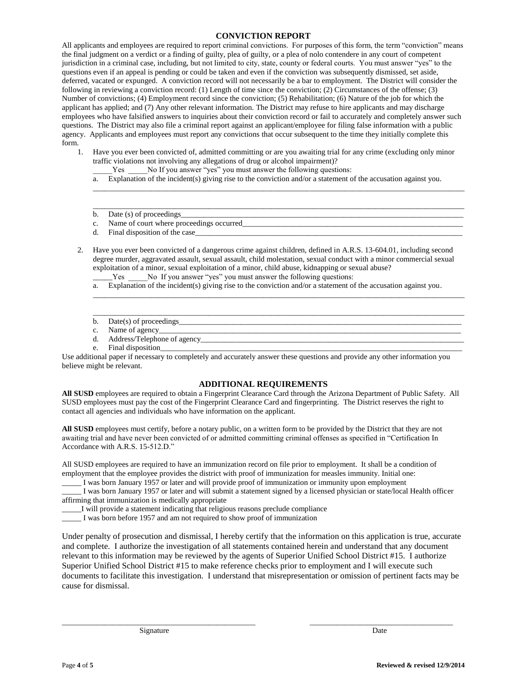## **CONVICTION REPORT**

All applicants and employees are required to report criminal convictions. For purposes of this form, the term "conviction" means the final judgment on a verdict or a finding of guilty, plea of guilty, or a plea of nolo contendere in any court of competent jurisdiction in a criminal case, including, but not limited to city, state, county or federal courts. You must answer "yes" to the questions even if an appeal is pending or could be taken and even if the conviction was subsequently dismissed, set aside, deferred, vacated or expunged. A conviction record will not necessarily be a bar to employment. The District will consider the following in reviewing a conviction record: (1) Length of time since the conviction; (2) Circumstances of the offense; (3) Number of convictions; (4) Employment record since the conviction; (5) Rehabilitation; (6) Nature of the job for which the applicant has applied; and (7) Any other relevant information. The District may refuse to hire applicants and may discharge employees who have falsified answers to inquiries about their conviction record or fail to accurately and completely answer such questions. The District may also file a criminal report against an applicant/employee for filing false information with a public agency. Applicants and employees must report any convictions that occur subsequent to the time they initially complete this form.

- 1. Have you ever been convicted of, admitted committing or are you awaiting trial for any crime (excluding only minor traffic violations not involving any allegations of drug or alcohol impairment)?
	- Yes No If you answer "yes" you must answer the following questions:
	- a. Explanation of the incident(s) giving rise to the conviction and/or a statement of the accusation against you.

 $\Box$ 

- \_\_\_\_\_\_\_\_\_\_\_\_\_\_\_\_\_\_\_\_\_\_\_\_\_\_\_\_\_\_\_\_\_\_\_\_\_\_\_\_\_\_\_\_\_\_\_\_\_\_\_\_\_\_\_\_\_\_\_\_\_\_\_\_\_\_\_\_\_\_\_\_\_\_\_\_\_\_\_\_\_\_\_\_\_\_\_\_\_\_\_\_\_\_\_\_ b. Date  $(s)$  of proceedings
- c. Name of court where proceedings occurred
- d. Final disposition of the case
- 2. Have you ever been convicted of a dangerous crime against children, defined in A.R.S. 13-604.01, including second degree murder, aggravated assault, sexual assault, child molestation, sexual conduct with a minor commercial sexual exploitation of a minor, sexual exploitation of a minor, child abuse, kidnapping or sexual abuse?
	- Yes No If you answer "yes" you must answer the following questions:
	- a. Explanation of the incident(s) giving rise to the conviction and/or a statement of the accusation against you.

 $\overline{\phantom{a}}$  , and the contribution of the contribution of the contribution of the contribution of the contribution of the contribution of the contribution of the contribution of the contribution of the contribution of the

 $\overline{\phantom{a}}$  , and the contribution of the contribution of the contribution of the contribution of the contribution of the contribution of the contribution of the contribution of the contribution of the contribution of the

- b. Date(s) of proceedings\_
- c. Name of agency\_
- d. Address/Telephone of agency\_\_\_\_\_\_\_\_\_\_\_\_\_\_\_\_\_\_\_\_\_\_\_\_\_\_\_\_\_\_\_\_\_\_\_\_\_\_\_\_\_\_\_\_\_\_\_\_\_\_\_\_\_\_\_\_\_\_\_\_\_\_\_\_\_\_\_\_
- e. Final disposition

Use additional paper if necessary to completely and accurately answer these questions and provide any other information you believe might be relevant.

## **ADDITIONAL REQUIREMENTS**

**All SUSD** employees are required to obtain a Fingerprint Clearance Card through the Arizona Department of Public Safety. All SUSD employees must pay the cost of the Fingerprint Clearance Card and fingerprinting. The District reserves the right to contact all agencies and individuals who have information on the applicant.

**All SUSD** employees must certify, before a notary public, on a written form to be provided by the District that they are not awaiting trial and have never been convicted of or admitted committing criminal offenses as specified in "Certification In Accordance with A.R.S. 15-512.D."

All SUSD employees are required to have an immunization record on file prior to employment. It shall be a condition of employment that the employee provides the district with proof of immunization for measles immunity. Initial one:

\_\_\_\_\_ I was born January 1957 or later and will provide proof of immunization or immunity upon employment

\_\_\_\_\_ I was born January 1957 or later and will submit a statement signed by a licensed physician or state/local Health officer affirming that immunization is medically appropriate

\_\_\_\_\_I will provide a statement indicating that religious reasons preclude compliance

\_\_\_\_\_ I was born before 1957 and am not required to show proof of immunization

Under penalty of prosecution and dismissal, I hereby certify that the information on this application is true, accurate and complete. I authorize the investigation of all statements contained herein and understand that any document relevant to this information may be reviewed by the agents of Superior Unified School District #15. I authorize Superior Unified School District #15 to make reference checks prior to employment and I will execute such documents to facilitate this investigation. I understand that misrepresentation or omission of pertinent facts may be cause for dismissal.

\_\_\_\_\_\_\_\_\_\_\_\_\_\_\_\_\_\_\_\_\_\_\_\_\_\_\_\_\_\_\_\_\_\_\_\_\_\_\_\_\_\_\_\_\_\_\_\_\_\_ \_\_\_\_\_\_\_\_\_\_\_\_\_\_\_\_\_\_\_\_\_\_\_\_\_\_\_\_\_\_\_\_\_\_\_\_\_